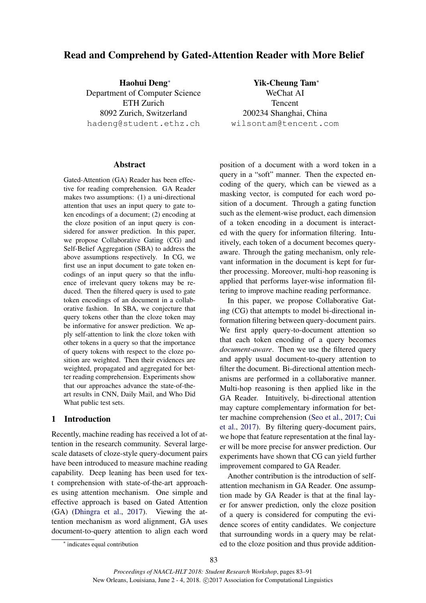# Read and Comprehend by Gated-Attention Reader with More Belief

Haohui Deng<sup>∗</sup> Department of Computer Science ETH Zurich 8092 Zurich, Switzerland hadeng@student.ethz.ch

Yik-Cheung Tam<sup>∗</sup> WeChat AI Tencent 200234 Shanghai, China wilsontam@tencent.com

# Abstract

Gated-Attention (GA) Reader has been effective for reading comprehension. GA Reader makes two assumptions: (1) a uni-directional attention that uses an input query to gate token encodings of a document; (2) encoding at the cloze position of an input query is considered for answer prediction. In this paper, we propose Collaborative Gating (CG) and Self-Belief Aggregation (SBA) to address the above assumptions respectively. In CG, we first use an input document to gate token encodings of an input query so that the influence of irrelevant query tokens may be reduced. Then the filtered query is used to gate token encodings of an document in a collaborative fashion. In SBA, we conjecture that query tokens other than the cloze token may be informative for answer prediction. We apply self-attention to link the cloze token with other tokens in a query so that the importance of query tokens with respect to the cloze position are weighted. Then their evidences are weighted, propagated and aggregated for better reading comprehension. Experiments show that our approaches advance the state-of-theart results in CNN, Daily Mail, and Who Did What public test sets.

# 1 Introduction

Recently, machine reading has received a lot of attention in the research community. Several largescale datasets of cloze-style query-document pairs have been introduced to measure machine reading capability. Deep leaning has been used for text comprehension with state-of-the-art approaches using attention mechanism. One simple and effective approach is based on Gated Attention (GA) (Dhingra et al., 2017). Viewing the attention mechanism as word alignment, GA uses document-to-query attention to align each word position of a document with a word token in a query in a "soft" manner. Then the expected encoding of the query, which can be viewed as a masking vector, is computed for each word position of a document. Through a gating function such as the element-wise product, each dimension of a token encoding in a document is interacted with the query for information filtering. Intuitively, each token of a document becomes queryaware. Through the gating mechanism, only relevant information in the document is kept for further processing. Moreover, multi-hop reasoning is applied that performs layer-wise information filtering to improve machine reading performance.

In this paper, we propose Collaborative Gating (CG) that attempts to model bi-directional information filtering between query-document pairs. We first apply query-to-document attention so that each token encoding of a query becomes *document-aware*. Then we use the filtered query and apply usual document-to-query attention to filter the document. Bi-directional attention mechanisms are performed in a collaborative manner. Multi-hop reasoning is then applied like in the GA Reader. Intuitively, bi-directional attention may capture complementary information for better machine comprehension (Seo et al., 2017; Cui et al., 2017). By filtering query-document pairs, we hope that feature representation at the final layer will be more precise for answer prediction. Our experiments have shown that CG can yield further improvement compared to GA Reader.

Another contribution is the introduction of selfattention mechanism in GA Reader. One assumption made by GA Reader is that at the final layer for answer prediction, only the cloze position of a query is considered for computing the evidence scores of entity candidates. We conjecture that surrounding words in a query may be related to the cloze position and thus provide addition-

<sup>∗</sup> indicates equal contribution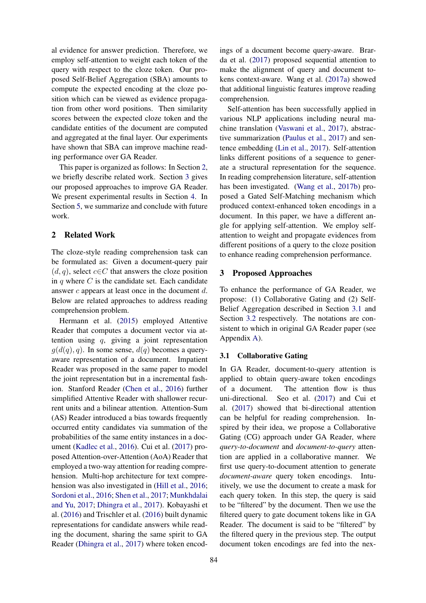al evidence for answer prediction. Therefore, we employ self-attention to weight each token of the query with respect to the cloze token. Our proposed Self-Belief Aggregation (SBA) amounts to compute the expected encoding at the cloze position which can be viewed as evidence propagation from other word positions. Then similarity scores between the expected cloze token and the candidate entities of the document are computed and aggregated at the final layer. Our experiments have shown that SBA can improve machine reading performance over GA Reader.

This paper is organized as follows: In Section 2, we briefly describe related work. Section 3 gives our proposed approaches to improve GA Reader. We present experimental results in Section 4. In Section 5, we summarize and conclude with future work.

# 2 Related Work

The cloze-style reading comprehension task can be formulated as: Given a document-query pair  $(d, q)$ , select  $c \in C$  that answers the cloze position in  $q$  where  $C$  is the candidate set. Each candidate answer c appears at least once in the document d. Below are related approaches to address reading comprehension problem.

Hermann et al. (2015) employed Attentive Reader that computes a document vector via attention using q, giving a joint representation  $q(d(q), q)$ . In some sense,  $d(q)$  becomes a queryaware representation of a document. Impatient Reader was proposed in the same paper to model the joint representation but in a incremental fashion. Stanford Reader (Chen et al., 2016) further simplified Attentive Reader with shallower recurrent units and a bilinear attention. Attention-Sum (AS) Reader introduced a bias towards frequently occurred entity candidates via summation of the probabilities of the same entity instances in a document (Kadlec et al., 2016). Cui et al. (2017) proposed Attention-over-Attention (AoA) Reader that employed a two-way attention for reading comprehension. Multi-hop architecture for text comprehension was also investigated in (Hill et al., 2016; Sordoni et al., 2016; Shen et al., 2017; Munkhdalai and Yu, 2017; Dhingra et al., 2017). Kobayashi et al. (2016) and Trischler et al. (2016) built dynamic representations for candidate answers while reading the document, sharing the same spirit to GA Reader (Dhingra et al., 2017) where token encod-

ings of a document become query-aware. Brarda et al. (2017) proposed sequential attention to make the alignment of query and document tokens context-aware. Wang et al. (2017a) showed that additional linguistic features improve reading comprehension.

Self-attention has been successfully applied in various NLP applications including neural machine translation (Vaswani et al., 2017), abstractive summarization (Paulus et al., 2017) and sentence embedding (Lin et al., 2017). Self-attention links different positions of a sequence to generate a structural representation for the sequence. In reading comprehension literature, self-attention has been investigated. (Wang et al., 2017b) proposed a Gated Self-Matching mechanism which produced context-enhanced token encodings in a document. In this paper, we have a different angle for applying self-attention. We employ selfattention to weight and propagate evidences from different positions of a query to the cloze position to enhance reading comprehension performance.

### 3 Proposed Approaches

To enhance the performance of GA Reader, we propose: (1) Collaborative Gating and (2) Self-Belief Aggregation described in Section 3.1 and Section 3.2 respectively. The notations are consistent to which in original GA Reader paper (see Appendix A).

### 3.1 Collaborative Gating

In GA Reader, document-to-query attention is applied to obtain query-aware token encodings of a document. The attention flow is thus uni-directional. Seo et al. (2017) and Cui et al. (2017) showed that bi-directional attention can be helpful for reading comprehension. Inspired by their idea, we propose a Collaborative Gating (CG) approach under GA Reader, where *query-to-document* and *document-to-query* attention are applied in a collaborative manner. We first use query-to-document attention to generate *document-aware* query token encodings. Intuitively, we use the document to create a mask for each query token. In this step, the query is said to be "filtered" by the document. Then we use the filtered query to gate document tokens like in GA Reader. The document is said to be "filtered" by the filtered query in the previous step. The output document token encodings are fed into the nex-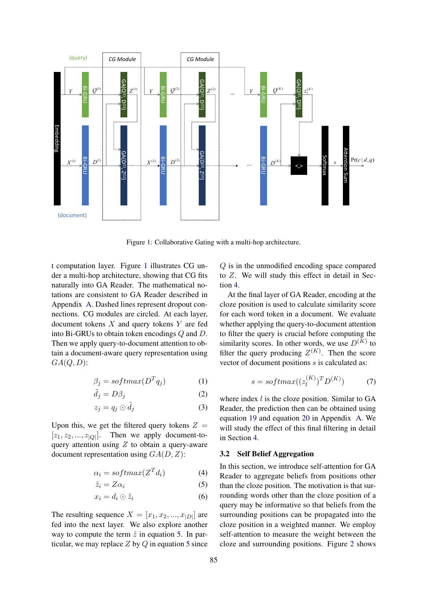

Figure 1: Collaborative Gating with a multi-hop architecture.

t computation layer. Figure 1 illustrates CG under a multi-hop architecture, showing that CG fits naturally into GA Reader. The mathematical notations are consistent to GA Reader described in Appendix A. Dashed lines represent dropout connections. CG modules are circled. At each layer, document tokens  $X$  and query tokens  $Y$  are fed into Bi-GRUs to obtain token encodings Q and D. Then we apply query-to-document attention to obtain a document-aware query representation using  $GA(Q, D)$ :

$$
\beta_j = softmax(D^T q_j) \tag{1}
$$

$$
\tilde{d}_j = D\beta_j \tag{2}
$$

$$
z_j = q_j \odot \tilde{d}_j \tag{3}
$$

Upon this, we get the filtered query tokens  $Z =$  $[z_1, z_2, ..., z_{|Q|}]$ . Then we apply document-toquery attention using  $Z$  to obtain a query-aware document representation using  $GA(D, Z)$ :

$$
\alpha_i = softmax(Z^T d_i) \tag{4}
$$

$$
\tilde{z}_i = Z\alpha_i \tag{5}
$$

$$
x_i = d_i \odot \tilde{z}_i \tag{6}
$$

The resulting sequence  $X = [x_1, x_2, ..., x_{|D|}]$  are fed into the next layer. We also explore another way to compute the term  $\tilde{z}$  in equation 5. In particular, we may replace  $Z$  by  $Q$  in equation 5 since Q is in the unmodified encoding space compared to Z. We will study this effect in detail in Section 4.

At the final layer of GA Reader, encoding at the cloze position is used to calculate similarity score for each word token in a document. We evaluate whether applying the query-to-document attention to filter the query is crucial before computing the similarity scores. In other words, we use  $D^{(K)}$  to filter the query producing  $Z^{(K)}$ . Then the score vector of document positions s is calculated as:

$$
s = softmax((z_l^{(K)})^T D^{(K)}) \tag{7}
$$

where index  $l$  is the cloze position. Similar to GA Reader, the prediction then can be obtained using equation 19 and equation 20 in Appendix A. We will study the effect of this final filtering in detail in Section 4.

#### 3.2 Self Belief Aggregation

In this section, we introduce self-attention for GA Reader to aggregate beliefs from positions other than the cloze position. The motivation is that surrounding words other than the cloze position of a query may be informative so that beliefs from the surrounding positions can be propagated into the cloze position in a weighted manner. We employ self-attention to measure the weight between the cloze and surrounding positions. Figure 2 shows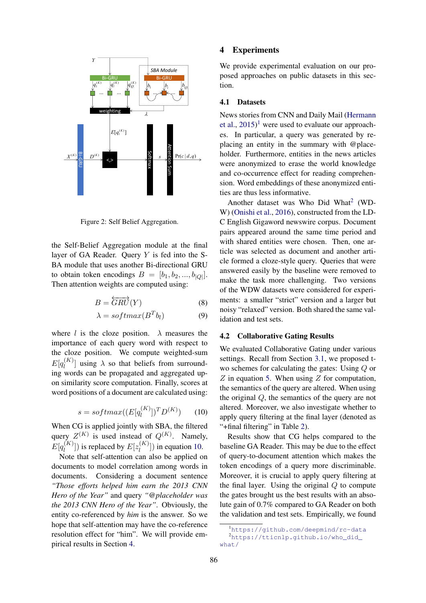

Figure 2: Self Belief Aggregation.

the Self-Belief Aggregation module at the final layer of GA Reader. Ouery  $Y$  is fed into the S-BA module that uses another Bi-directional GRU to obtain token encodings  $B = [b_1, b_2, ..., b_{|Q|}]$ . Then attention weights are computed using:

$$
B = \overleftrightarrow{GRU}(Y) \tag{8}
$$

$$
\lambda = softmax(B^T b_l) \tag{9}
$$

where l is the cloze position.  $\lambda$  measures the importance of each query word with respect to the cloze position. We compute weighted-sum  $E[q_l^{(K)}]$  $\binom{N}{l}$  using  $\lambda$  so that beliefs from surrounding words can be propagated and aggregated upon similarity score computation. Finally, scores at word positions of a document are calculated using:

$$
s = softmax((E[q_i^{(K)}])^T D^{(K)}) \qquad (10)
$$

When CG is applied jointly with SBA, the filtered query  $Z^{(K)}$  is used instead of  $Q^{(K)}$ . Namely,  $E[q_l^{(K)}]$  $\binom{K}{l}$ ]) is replaced by  $E[z_l^{(K)}]$  $\binom{N}{l}$ ) in equation 10.

Note that self-attention can also be applied on documents to model correlation among words in documents. Considering a document sentence *"Those efforts helped him earn the 2013 CNN Hero of the Year"* and query *"@placeholder was the 2013 CNN Hero of the Year"*. Obviously, the entity co-referenced by *him* is the answer. So we hope that self-attention may have the co-reference resolution effect for "him". We will provide empirical results in Section 4.

## 4 Experiments

 $Bi-GRU$   $Bi-GRU$   $POSCU$  approaches on public datasci **SBA Module**<br> **Bi-GRU posed approaches on public datasets in this sec** $b_1$   $\begin{bmatrix} b_1 \\ b_2 \end{bmatrix}$  **tion.** We provide experimental evaluation on our pro-

#### 4.1 Datasets

 $E[q_i^{(K)}]$  es. In particular, a query was generated by re- $D^{(K)}$   $\iff$   $\begin{cases} \frac{1}{2} & \frac{1}{2} \\ \frac{1}{2} & \frac{1}{2} \end{cases}$  Pr(*c* | *d*, *q*) bolder. Furthermore, entities in the news article<br>were anonymized to erase the world knowledge<br>and co-occurrence effect for reading comprehence et al.,  $2015$ <sup>1</sup> were used to evaluate our approachplacing an entity in the summary with @placeholder. Furthermore, entities in the news articles were anonymized to erase the world knowledge and co-occurrence effect for reading comprehension. Word embeddings of these anonymized entities are thus less informative.

> Another dataset was Who Did What<sup>2</sup> (WD-W) (Onishi et al., 2016), constructed from the LD-C English Gigaword newswire corpus. Document pairs appeared around the same time period and with shared entities were chosen. Then, one article was selected as document and another article formed a cloze-style query. Queries that were answered easily by the baseline were removed to make the task more challenging. Two versions of the WDW datasets were considered for experiments: a smaller "strict" version and a larger but noisy "relaxed" version. Both shared the same validation and test sets.

#### 4.2 Collaborative Gating Results

We evaluated Collaborative Gating under various settings. Recall from Section 3.1, we proposed two schemes for calculating the gates: Using Q or  $Z$  in equation 5. When using  $Z$  for computation, the semantics of the query are altered. When using the original Q, the semantics of the query are not altered. Moreover, we also investigate whether to apply query filtering at the final layer (denoted as "+final filtering" in Table 2).

Results show that CG helps compared to the baseline GA Reader. This may be due to the effect of query-to-document attention which makes the token encodings of a query more discriminable. Moreover, it is crucial to apply query filtering at the final layer. Using the original  $Q$  to compute the gates brought us the best results with an absolute gain of 0.7% compared to GA Reader on both the validation and test sets. Empirically, we found

<sup>1</sup>https://github.com/deepmind/rc-data <sup>2</sup>https://tticnlp.github.io/who\_did\_ what/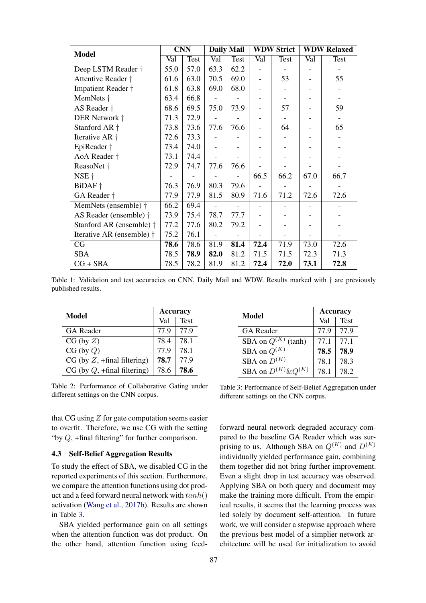| <b>Model</b>                      | <b>CNN</b> |      | <b>Daily Mail</b> |      | <b>WDW Strict</b>        |      | <b>WDW Relaxed</b>       |      |
|-----------------------------------|------------|------|-------------------|------|--------------------------|------|--------------------------|------|
|                                   | Val        | Test | Val               | Test | Val                      | Test | Val                      | Test |
| Deep LSTM Reader $\dagger$        | 55.0       | 57.0 | 63.3              | 62.2 | ۰                        |      | $\overline{\phantom{a}}$ |      |
| Attentive Reader †                | 61.6       | 63.0 | 70.5              | 69.0 | ۰                        | 53   |                          | 55   |
| Impatient Reader †                | 61.8       | 63.8 | 69.0              | 68.0 | $\overline{\phantom{0}}$ |      |                          |      |
| MemNets †                         | 63.4       | 66.8 |                   |      |                          |      |                          |      |
| AS Reader $\dagger$               | 68.6       | 69.5 | 75.0              | 73.9 |                          | 57   |                          | 59   |
| DER Network †                     | 71.3       | 72.9 |                   |      |                          |      |                          |      |
| Stanford AR +                     | 73.8       | 73.6 | 77.6              | 76.6 |                          | 64   |                          | 65   |
| Iterative AR +                    | 72.6       | 73.3 |                   |      |                          |      |                          |      |
| EpiReader †                       | 73.4       | 74.0 |                   |      |                          |      |                          |      |
| AoA Reader †                      | 73.1       | 74.4 |                   |      |                          |      |                          |      |
| ReasoNet †                        | 72.9       | 74.7 | 77.6              | 76.6 |                          |      |                          |      |
| NSE †                             |            |      |                   |      | 66.5                     | 66.2 | 67.0                     | 66.7 |
| BiDAF +                           | 76.3       | 76.9 | 80.3              | 79.6 |                          |      |                          |      |
| GA Reader +                       | 77.9       | 77.9 | 81.5              | 80.9 | 71.6                     | 71.2 | 72.6                     | 72.6 |
| MemNets (ensemble) $\dagger$      | 66.2       | 69.4 |                   |      |                          |      |                          |      |
| AS Reader (ensemble) †            | 73.9       | 75.4 | 78.7              | 77.7 |                          |      |                          |      |
| Stanford AR (ensemble) $\dagger$  | 77.2       | 77.6 | 80.2              | 79.2 |                          |      |                          |      |
| Iterative AR (ensemble) $\dagger$ | 75.2       | 76.1 |                   |      |                          |      |                          |      |
| CG                                | 78.6       | 78.6 | 81.9              | 81.4 | 72.4                     | 71.9 | 73.0                     | 72.6 |
| <b>SBA</b>                        | 78.5       | 78.9 | 82.0              | 81.2 | 71.5                     | 71.5 | 72.3                     | 71.3 |
| $CG + SBA$                        | 78.5       | 78.2 | 81.9              | 81.2 | 72.4                     | 72.0 | 73.1                     | 72.8 |

Table 1: Validation and test accuracies on CNN, Daily Mail and WDW. Results marked with  $\dagger$  are previously published results.

| Model                            | <b>Accuracy</b> |             |  |
|----------------------------------|-----------------|-------------|--|
|                                  | Val             | <b>Test</b> |  |
| GA Reader                        | 77.9            | 77.9        |  |
| $CG$ (by $Z$ )                   | 78.4            | 78.1        |  |
| CG (by Q)                        | 77.9            | 78.1        |  |
| $CG$ (by $Z$ , +final filtering) | 78.7            | 77.9        |  |
| $CG$ (by $Q$ , +final filtering) | 78.6            | 78.6        |  |

Table 2: Performance of Collaborative Gating under different settings on the CNN corpus.

that CG using  $Z$  for gate computation seems easier to overfit. Therefore, we use CG with the setting "by  $Q$ , +final filtering" for further comparison.

#### 4.3 Self-Belief Aggregation Results

To study the effect of SBA, we disabled CG in the reported experiments of this section. Furthermore, we compare the attention functions using dot product and a feed forward neural network with  $tanh()$ activation (Wang et al., 2017b). Results are shown in Table 3.

SBA yielded performance gain on all settings when the attention function was dot product. On the other hand, attention function using feed-

| Model                      | Accuracy |             |  |  |
|----------------------------|----------|-------------|--|--|
|                            | Val      | <b>Test</b> |  |  |
| <b>GA</b> Reader           | 77.9     | 77.9        |  |  |
| SBA on $Q^{(K)}$<br>(tanh) | 77.1     | 77.1        |  |  |
| SBA on $Q^{(K)}$           | 78.5     | 78.9        |  |  |
| SBA on $D^{(K)}$           | 78.1     | 78.3        |  |  |
| SBA on $D^{(K)}$ &O        | 78 1     | 78.2        |  |  |

Table 3: Performance of Self-Belief Aggregation under different settings on the CNN corpus.

forward neural network degraded accuracy compared to the baseline GA Reader which was surprising to us. Although SBA on  $Q^{(K)}$  and  $D^{(K)}$ individually yielded performance gain, combining them together did not bring further improvement. Even a slight drop in test accuracy was observed. Applying SBA on both query and document may make the training more difficult. From the empirical results, it seems that the learning process was led solely by document self-attention. In future work, we will consider a stepwise approach where the previous best model of a simplier network architecture will be used for initialization to avoid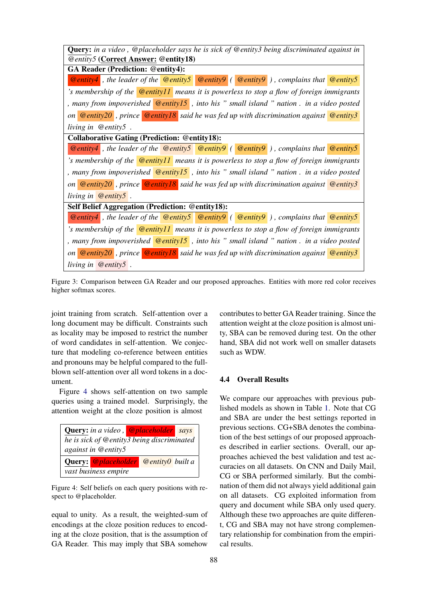| <b>Query:</b> in a video, @placeholder says he is sick of @entity3 being discriminated against in                |
|------------------------------------------------------------------------------------------------------------------|
| <b>@entity5 (Correct Answer: @entity18)</b>                                                                      |
| <b>GA Reader (Prediction: @entity4):</b>                                                                         |
| <b>@entity4</b> , the leader of the <b>@entity5 @entity9</b> ( @entity9 ), complains that <b>@entity5</b>        |
| 's membership of the <b>Centity</b> 11 means it is powerless to stop a flow of foreign immigrants                |
| , many from impoverished $\circledR$ entity 15, into his " small island " nation . in a video posted             |
| on $\phi$ entity 20, prince $\phi$ entity 18 said he was fed up with discrimination against $\phi$ entity 3      |
| living in $\omega$ entity 5.                                                                                     |
| <b>Collaborative Gating (Prediction: @entity18):</b>                                                             |
| <b>@entity4</b> , the leader of the <b>@entity5 @entity9</b> ( <b>@entity9</b> ), complains that <b>@entity5</b> |
| 's membership of the <b>Centity 11</b> means it is powerless to stop a flow of foreign immigrants                |
| , many from impoverished $\Theta$ <b>@entity15</b> , into his " small island " nation . in a video posted        |
| on <b>@entity20</b> , prince <b>@entity18</b> said he was fed up with discrimination against <b>@entity3</b>     |
| living in $\omega$ entity $5$ .                                                                                  |
| Self Belief Aggregation (Prediction: @entity18):                                                                 |
| <b>@entity4</b> , the leader of the <b>@entity5 @entity9</b> ( <b>@entity9</b> ), complains that <b>@entity5</b> |
| 's membership of the <b><i>Centity11</i></b> means it is powerless to stop a flow of foreign immigrants          |
| , many from impoverished $\Theta$ entity 15, into his " small island " nation . in a video posted                |
| on $\phi$ entity 20, prince $\phi$ entity 18 said he was fed up with discrimination against $\phi$ entity 3      |
| living in $@$ entity5.                                                                                           |

Figure 3: Comparison between GA Reader and our proposed approaches. Entities with more red color receives higher softmax scores.

joint training from scratch. Self-attention over a long document may be difficult. Constraints such as locality may be imposed to restrict the number of word candidates in self-attention. We conjecture that modeling co-reference between entities and pronouns may be helpful compared to the fullblown self-attention over all word tokens in a document.

Figure 4 shows self-attention on two sample queries using a trained model. Surprisingly, the attention weight at the cloze position is almost



Figure 4: Self beliefs on each query positions with respect to @placeholder.

equal to unity. As a result, the weighted-sum of encodings at the cloze position reduces to encoding at the cloze position, that is the assumption of GA Reader. This may imply that SBA somehow

contributes to better GA Reader training. Since the attention weight at the cloze position is almost unity, SBA can be removed during test. On the other hand, SBA did not work well on smaller datasets such as WDW.

# 4.4 Overall Results

We compare our approaches with previous published models as shown in Table 1. Note that CG and SBA are under the best settings reported in previous sections. CG+SBA denotes the combination of the best settings of our proposed approaches described in earlier sections. Overall, our approaches achieved the best validation and test accuracies on all datasets. On CNN and Daily Mail, CG or SBA performed similarly. But the combination of them did not always yield additional gain on all datasets. CG exploited information from query and document while SBA only used query. Although these two approaches are quite different, CG and SBA may not have strong complementary relationship for combination from the empirical results.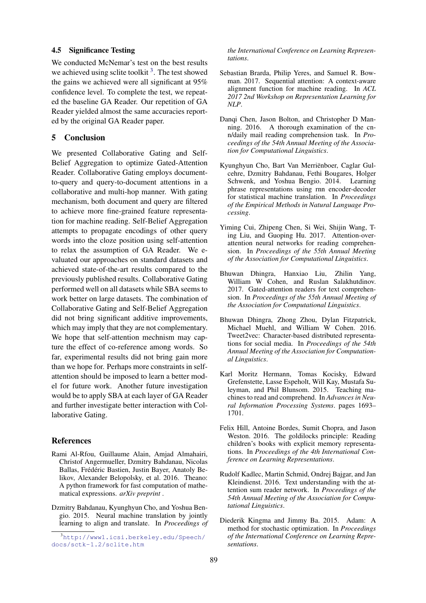#### 4.5 Significance Testing

We conducted McNemar's test on the best results we achieved using sclite toolkit<sup>3</sup>. The test showed the gains we achieved were all significant at 95% confidence level. To complete the test, we repeated the baseline GA Reader. Our repetition of GA Reader yielded almost the same accuracies reported by the original GA Reader paper.

# 5 Conclusion

We presented Collaborative Gating and Self-Belief Aggregation to optimize Gated-Attention Reader. Collaborative Gating employs documentto-query and query-to-document attentions in a collaborative and multi-hop manner. With gating mechanism, both document and query are filtered to achieve more fine-grained feature representation for machine reading. Self-Belief Aggregation attempts to propagate encodings of other query words into the cloze position using self-attention to relax the assumption of GA Reader. We evaluated our approaches on standard datasets and achieved state-of-the-art results compared to the previously published results. Collaborative Gating performed well on all datasets while SBA seems to work better on large datasets. The combination of Collaborative Gating and Self-Belief Aggregation did not bring significant additive improvements, which may imply that they are not complementary. We hope that self-attention mechnism may capture the effect of co-reference among words. So far, experimental results did not bring gain more than we hope for. Perhaps more constraints in selfattention should be imposed to learn a better model for future work. Another future investigation would be to apply SBA at each layer of GA Reader and further investigate better interaction with Collaborative Gating.

# References

- Rami Al-Rfou, Guillaume Alain, Amjad Almahairi, Christof Angermueller, Dzmitry Bahdanau, Nicolas Ballas, Frédéric Bastien, Justin Bayer, Anatoly Belikov, Alexander Belopolsky, et al. 2016. Theano: A python framework for fast computation of mathematical expressions. *arXiv preprint* .
- Dzmitry Bahdanau, Kyunghyun Cho, and Yoshua Bengio. 2015. Neural machine translation by jointly learning to align and translate. In *Proceedings of*

*the International Conference on Learning Representations*.

- Sebastian Brarda, Philip Yeres, and Samuel R. Bowman. 2017. Sequential attention: A context-aware alignment function for machine reading. In *ACL 2017 2nd Workshop on Representation Learning for NLP*.
- Danqi Chen, Jason Bolton, and Christopher D Manning. 2016. A thorough examination of the cnn/daily mail reading comprehension task. In *Proceedings of the 54th Annual Meeting of the Association for Computational Linguistics*.
- Kyunghyun Cho, Bart Van Merriënboer, Caglar Gulcehre, Dzmitry Bahdanau, Fethi Bougares, Holger Schwenk, and Yoshua Bengio. 2014. Learning phrase representations using rnn encoder-decoder for statistical machine translation. In *Proceedings of the Empirical Methods in Natural Language Processing*.
- Yiming Cui, Zhipeng Chen, Si Wei, Shijin Wang, Ting Liu, and Guoping Hu. 2017. Attention-overattention neural networks for reading comprehension. In *Proceedings of the 55th Annual Meeting of the Association for Computational Linguistics*.
- Bhuwan Dhingra, Hanxiao Liu, Zhilin Yang, William W Cohen, and Ruslan Salakhutdinov. 2017. Gated-attention readers for text comprehension. In *Proceedings of the 55th Annual Meeting of the Association for Computational Linguistics*.
- Bhuwan Dhingra, Zhong Zhou, Dylan Fitzpatrick, Michael Muehl, and William W Cohen. 2016. Tweet2vec: Character-based distributed representations for social media. In *Proceedings of the 54th Annual Meeting of the Association for Computational Linguistics*.
- Karl Moritz Hermann, Tomas Kocisky, Edward Grefenstette, Lasse Espeholt, Will Kay, Mustafa Suleyman, and Phil Blunsom. 2015. Teaching machines to read and comprehend. In *Advances in Neural Information Processing Systems*. pages 1693– 1701.
- Felix Hill, Antoine Bordes, Sumit Chopra, and Jason Weston. 2016. The goldilocks principle: Reading children's books with explicit memory representations. In *Proceedings of the 4th International Conference on Learning Representations*.
- Rudolf Kadlec, Martin Schmid, Ondrej Bajgar, and Jan Kleindienst. 2016. Text understanding with the attention sum reader network. In *Proceedings of the 54th Annual Meeting of the Association for Computational Linguistics*.
- Diederik Kingma and Jimmy Ba. 2015. Adam: A method for stochastic optimization. In *Proceedings of the International Conference on Learning Representations*.

<sup>3</sup>http://www1.icsi.berkeley.edu/Speech/ docs/sctk-1.2/sclite.htm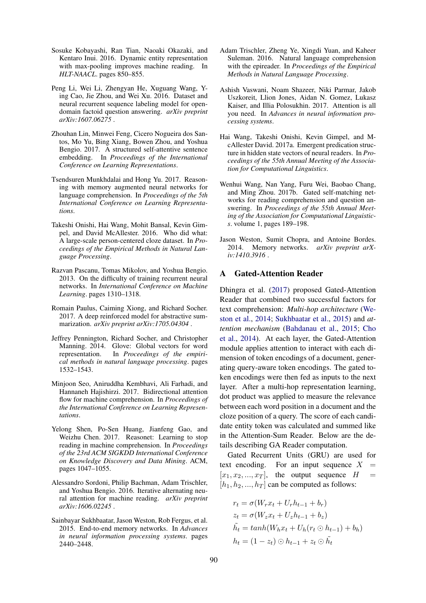- Sosuke Kobayashi, Ran Tian, Naoaki Okazaki, and Kentaro Inui. 2016. Dynamic entity representation with max-pooling improves machine reading. In *HLT-NAACL*. pages 850–855.
- Peng Li, Wei Li, Zhengyan He, Xuguang Wang, Ying Cao, Jie Zhou, and Wei Xu. 2016. Dataset and neural recurrent sequence labeling model for opendomain factoid question answering. *arXiv preprint arXiv:1607.06275* .
- Zhouhan Lin, Minwei Feng, Cicero Nogueira dos Santos, Mo Yu, Bing Xiang, Bowen Zhou, and Yoshua Bengio. 2017. A structured self-attentive sentence embedding. In *Proceedings of the International Conference on Learning Representations*.
- Tsendsuren Munkhdalai and Hong Yu. 2017. Reasoning with memory augmented neural networks for language comprehension. In *Proceedings of the 5th International Conference on Learning Representations*.
- Takeshi Onishi, Hai Wang, Mohit Bansal, Kevin Gimpel, and David McAllester. 2016. Who did what: A large-scale person-centered cloze dataset. In *Proceedings of the Empirical Methods in Natural Language Processing*.
- Razvan Pascanu, Tomas Mikolov, and Yoshua Bengio. 2013. On the difficulty of training recurrent neural networks. In *International Conference on Machine Learning*. pages 1310–1318.
- Romain Paulus, Caiming Xiong, and Richard Socher. 2017. A deep reinforced model for abstractive summarization. *arXiv preprint arXiv:1705.04304* .
- Jeffrey Pennington, Richard Socher, and Christopher Manning. 2014. Glove: Global vectors for word representation. In *Proceedings of the empirical methods in natural language processing*. pages 1532–1543.
- Minjoon Seo, Aniruddha Kembhavi, Ali Farhadi, and Hannaneh Hajishirzi. 2017. Bidirectional attention flow for machine comprehension. In *Proceedings of the International Conference on Learning Representations*.
- Yelong Shen, Po-Sen Huang, Jianfeng Gao, and Weizhu Chen. 2017. Reasonet: Learning to stop reading in machine comprehension. In *Proceedings of the 23rd ACM SIGKDD International Conference on Knowledge Discovery and Data Mining*. ACM, pages 1047–1055.
- Alessandro Sordoni, Philip Bachman, Adam Trischler, and Yoshua Bengio. 2016. Iterative alternating neural attention for machine reading. *arXiv preprint arXiv:1606.02245* .
- Sainbayar Sukhbaatar, Jason Weston, Rob Fergus, et al. 2015. End-to-end memory networks. In *Advances in neural information processing systems*. pages 2440–2448.
- Adam Trischler, Zheng Ye, Xingdi Yuan, and Kaheer Suleman. 2016. Natural language comprehension with the epireader. In *Proceedings of the Empirical Methods in Natural Language Processing*.
- Ashish Vaswani, Noam Shazeer, Niki Parmar, Jakob Uszkoreit, Llion Jones, Aidan N. Gomez, Lukasz Kaiser, and Illia Polosukhin. 2017. Attention is all you need. In *Advances in neural information processing systems*.
- Hai Wang, Takeshi Onishi, Kevin Gimpel, and McAllester David. 2017a. Emergent predication structure in hidden state vectors of neural readers. In *Proceedings of the 55th Annual Meeting of the Association for Computational Linguistics*.
- Wenhui Wang, Nan Yang, Furu Wei, Baobao Chang, and Ming Zhou. 2017b. Gated self-matching networks for reading comprehension and question answering. In *Proceedings of the 55th Annual Meeting of the Association for Computational Linguistics*. volume 1, pages 189–198.
- Jason Weston, Sumit Chopra, and Antoine Bordes. 2014. Memory networks. *arXiv preprint arXiv:1410.3916* .

## A Gated-Attention Reader

Dhingra et al. (2017) proposed Gated-Attention Reader that combined two successful factors for text comprehension: *Multi-hop architecture* (Weston et al., 2014; Sukhbaatar et al., 2015) and *attention mechanism* (Bahdanau et al., 2015; Cho et al., 2014). At each layer, the Gated-Attention module applies attention to interact with each dimension of token encodings of a document, generating query-aware token encodings. The gated token encodings were then fed as inputs to the next layer. After a multi-hop representation learning, dot product was applied to measure the relevance between each word position in a document and the cloze position of a query. The score of each candidate entity token was calculated and summed like in the Attention-Sum Reader. Below are the details describing GA Reader computation.

Gated Recurrent Units (GRU) are used for text encoding. For an input sequence  $X =$  $[x_1, x_2, ..., x_T]$ , the output sequence  $H =$  $[h_1, h_2, ..., h_T]$  can be computed as follows:

$$
r_t = \sigma(W_r x_t + U_r h_{t-1} + b_r)
$$
  
\n
$$
z_t = \sigma(W_z x_t + U_z h_{t-1} + b_z)
$$
  
\n
$$
\tilde{h}_t = \tanh(W_h x_t + U_h (r_t \odot h_{t-1}) + b_h)
$$
  
\n
$$
h_t = (1 - z_t) \odot h_{t-1} + z_t \odot \tilde{h}_t
$$